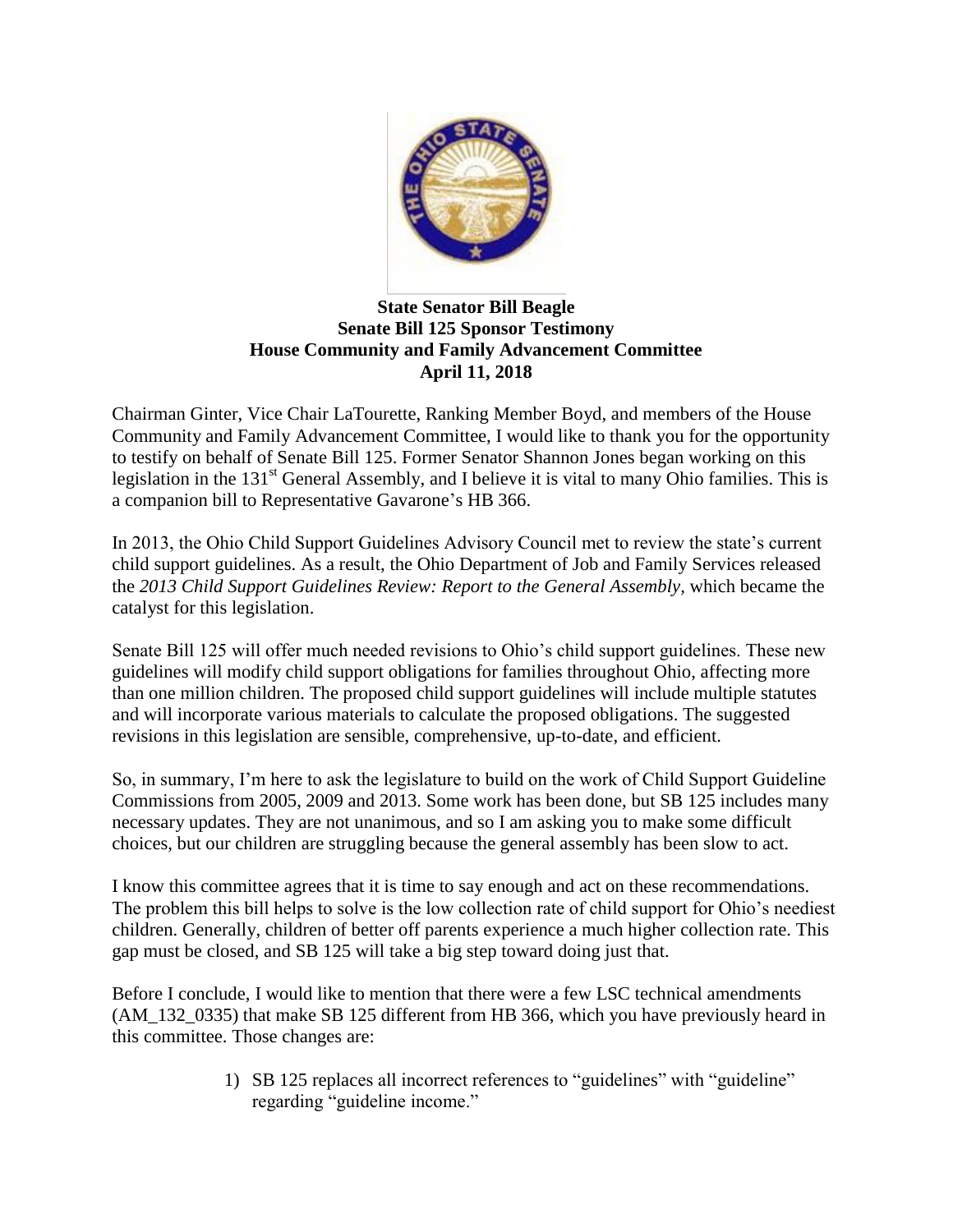

## **State Senator Bill Beagle Senate Bill 125 Sponsor Testimony House Community and Family Advancement Committee April 11, 2018**

Chairman Ginter, Vice Chair LaTourette, Ranking Member Boyd, and members of the House Community and Family Advancement Committee, I would like to thank you for the opportunity to testify on behalf of Senate Bill 125. Former Senator Shannon Jones began working on this legislation in the 131<sup>st</sup> General Assembly, and I believe it is vital to many Ohio families. This is a companion bill to Representative Gavarone's HB 366.

In 2013, the Ohio Child Support Guidelines Advisory Council met to review the state's current child support guidelines. As a result, the Ohio Department of Job and Family Services released the *2013 Child Support Guidelines Review: Report to the General Assembly,* which became the catalyst for this legislation.

Senate Bill 125 will offer much needed revisions to Ohio's child support guidelines. These new guidelines will modify child support obligations for families throughout Ohio, affecting more than one million children. The proposed child support guidelines will include multiple statutes and will incorporate various materials to calculate the proposed obligations. The suggested revisions in this legislation are sensible, comprehensive, up-to-date, and efficient.

So, in summary, I'm here to ask the legislature to build on the work of Child Support Guideline Commissions from 2005, 2009 and 2013. Some work has been done, but SB 125 includes many necessary updates. They are not unanimous, and so I am asking you to make some difficult choices, but our children are struggling because the general assembly has been slow to act.

I know this committee agrees that it is time to say enough and act on these recommendations. The problem this bill helps to solve is the low collection rate of child support for Ohio's neediest children. Generally, children of better off parents experience a much higher collection rate. This gap must be closed, and SB 125 will take a big step toward doing just that.

Before I conclude, I would like to mention that there were a few LSC technical amendments (AM\_132\_0335) that make SB 125 different from HB 366, which you have previously heard in this committee. Those changes are:

> 1) SB 125 replaces all incorrect references to "guidelines" with "guideline" regarding "guideline income."